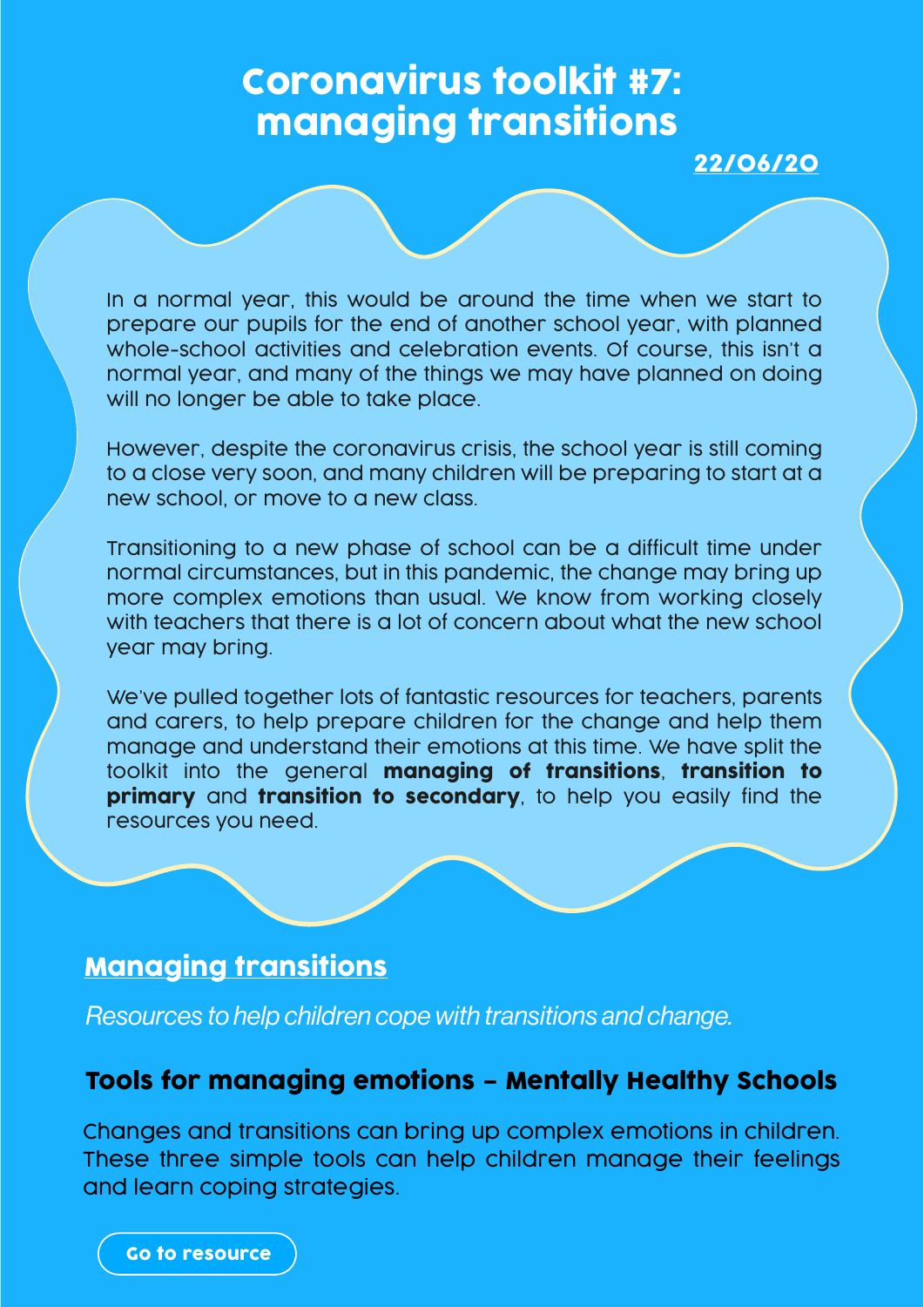# Coronavirus toolkit #7: managing transitions

22/06/20

In a normal year, this would be around the time when we start to prepare our pupils for the end of another school year, with planned whole-school activities and celebration events. Of course, this isn't a normal year, and many of the things we may have planned on doing will no longer be able to take place.

However, despite the coronavirus crisis, the school year is still coming to a close very soon, and many children will be preparing to start at a new school, or move to a new class.

Transitioning to a new phase of school can be a difficult time under normal circumstances, but in this pandemic, the change may bring up more complex emotions than usual. We know from working closely with teachers that there is a lot of concern about what the new school year may bring.

We've pulled together lots of fantastic resources for teachers, parents and carers, to help prepare children for the change and help them manage and understand their emotions at this time. We have split the toolkit into the general managing of transitions, transition to primary and transition to secondary, to help you easily find the resources you need.

### Managing transitions

*Resources to help children cope with transitions and change.*

#### Tools for managing emotions – Mentally Healthy Schools

Changes and transitions can bring up complex emotions in children. These three simple tools can help children manage their feelings and learn coping strategies.

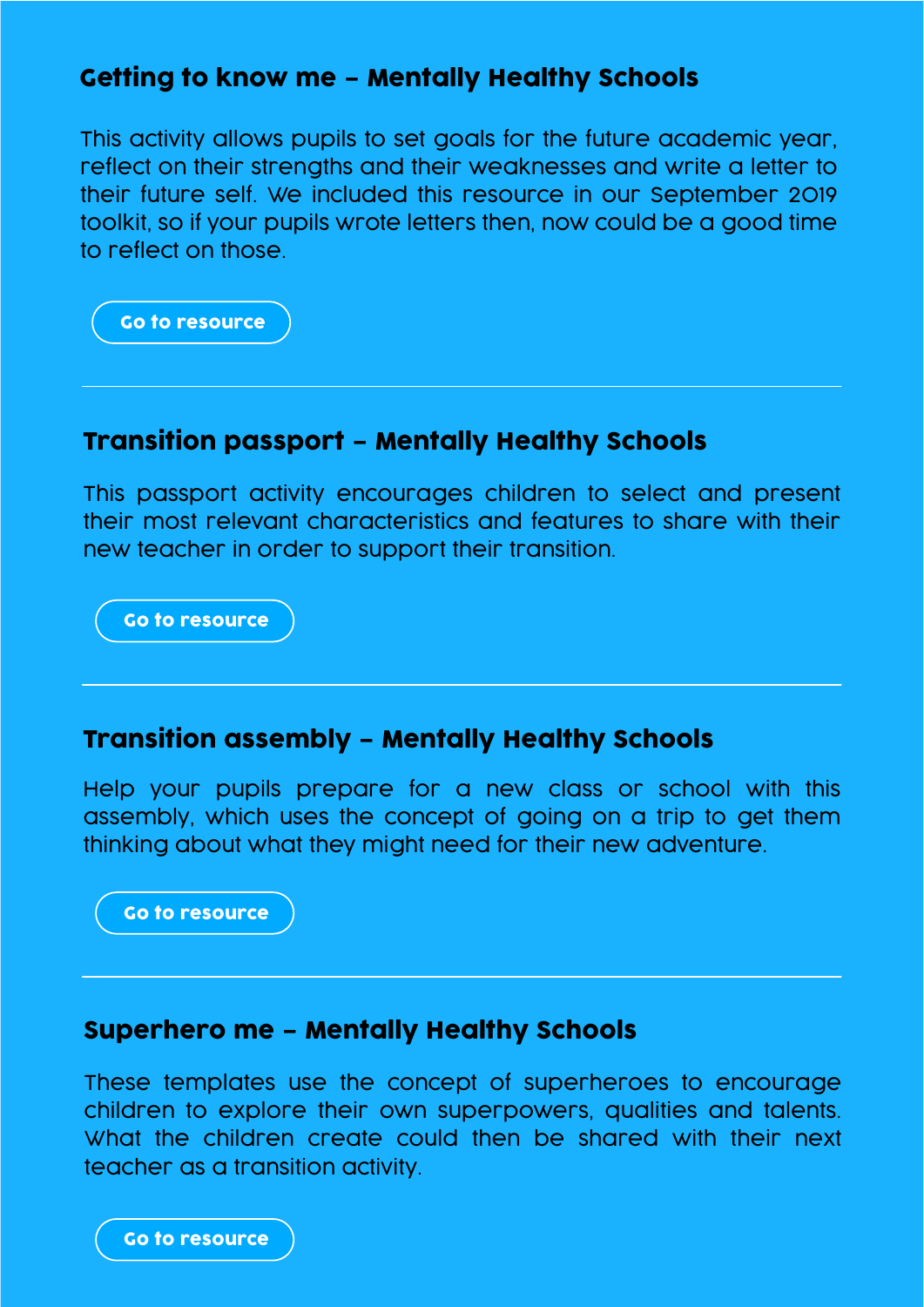### Getting to know me – Mentally Healthy Schools

This activity allows pupils to set goals for the future academic year, reflect on their strengths and their weaknesses and write a letter to their future self. We included this resource in our September 2019 toolkit, so if your pupils wrote letters then, now could be a good time to reflect on those.

[Go to resource](https://www.mentallyhealthyschools.org.uk/resources/getting-to-know-me-ks2-worksheet?pdf=coronavirus-toolkit-managing-transitions)

### Transition passport – Mentally Healthy Schools

This passport activity encourages children to select and present their most relevant characteristics and features to share with their new teacher in order to support their transition.

[Go to resource](https://www.mentallyhealthyschools.org.uk/resources/transition-passport?pdf=coronavirus-toolkit-managing-transitions)

#### Transition assembly – Mentally Healthy Schools

Help your pupils prepare for a new class or school with this assembly, which uses the concept of going on a trip to get them thinking about what they might need for their new adventure.

[Go to resource](https://www.mentallyhealthyschools.org.uk/resources/transition-assembly?pdf=coronavirus-toolkit-managing-transitions)

#### Superhero me – Mentally Healthy Schools

These templates use the concept of superheroes to encourage children to explore their own superpowers, qualities and talents. What the children create could then be shared with their next teacher as a transition activity.

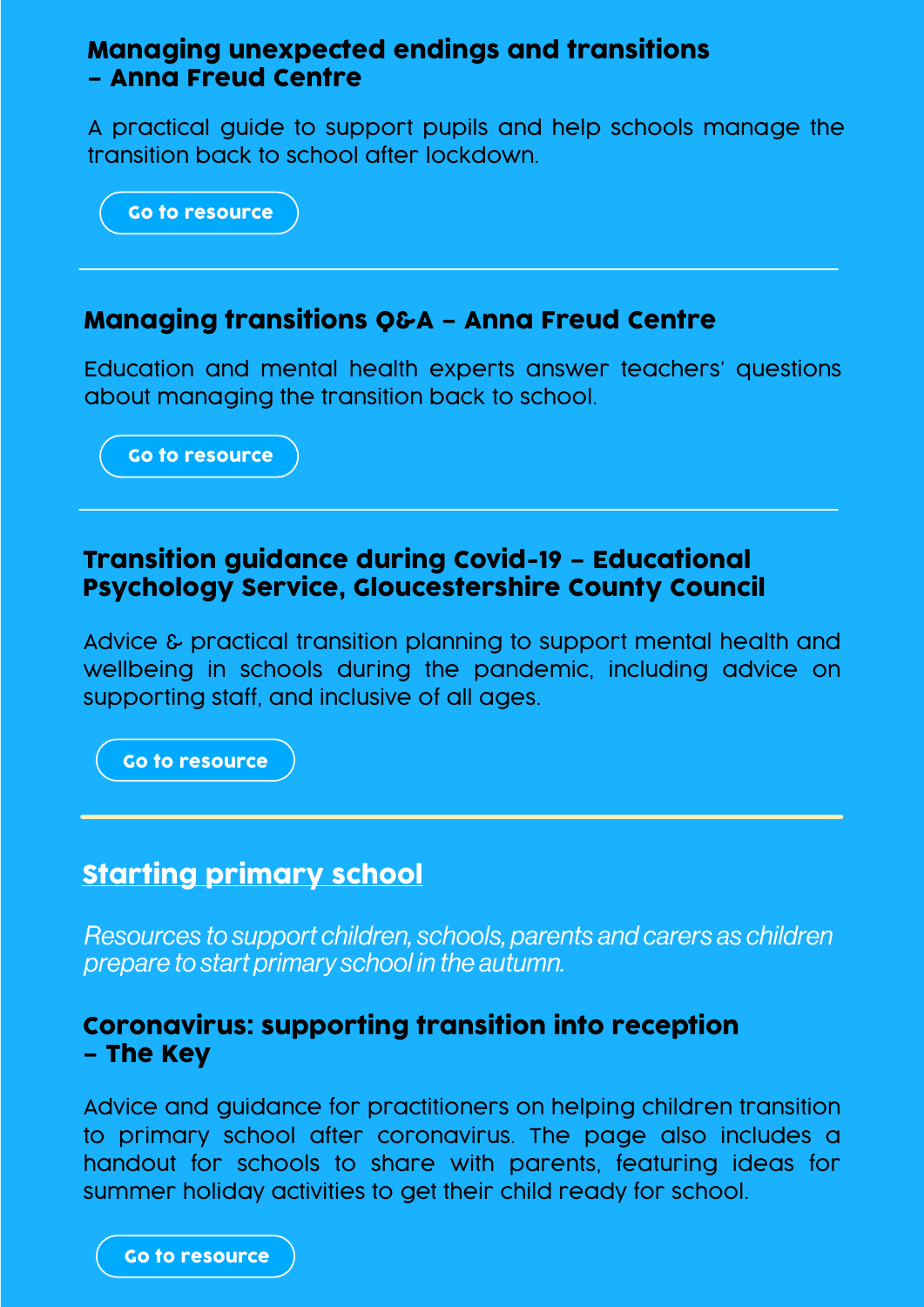### Managing unexpected endings and transitions – Anna Freud Centre

A practical guide to support pupils and help schools manage the transition back to school after lockdown.

[Go to resource](https://www.annafreud.org/media/11610/managing-unexpected-endings-transitions-may2020.pdf)

### Managing transitions Q&A – Anna Freud Centre

Education and mental health experts answer teachers' questions about managing the transition back to school.

[Go to resource](https://www.facebook.com/AFNCCF/videos/3935609173176329/)

### Transition guidance during Covid-19 – Educational Psychology Service, Gloucestershire County Council

Advice & practical transition planning to support mental health and wellbeing in schools during the pandemic, including advice on supporting staff, and inclusive of all ages.

[Go to resource](https://www.gloucestershire.gov.uk/media/2098023/20200517-transition-guidance-during-covid-19-final-1852020-3.pdf)

# Starting primary school

*Resources to support children, schools, parents and carers as children prepare to start primary school in the autumn.*

### Coronavirus: supporting transition into reception – The Key

Advice and guidance for practitioners on helping children transition to primary school after coronavirus. The page also includes a handout for schools to share with parents, featuring ideas for summer holiday activities to get their child ready for school.

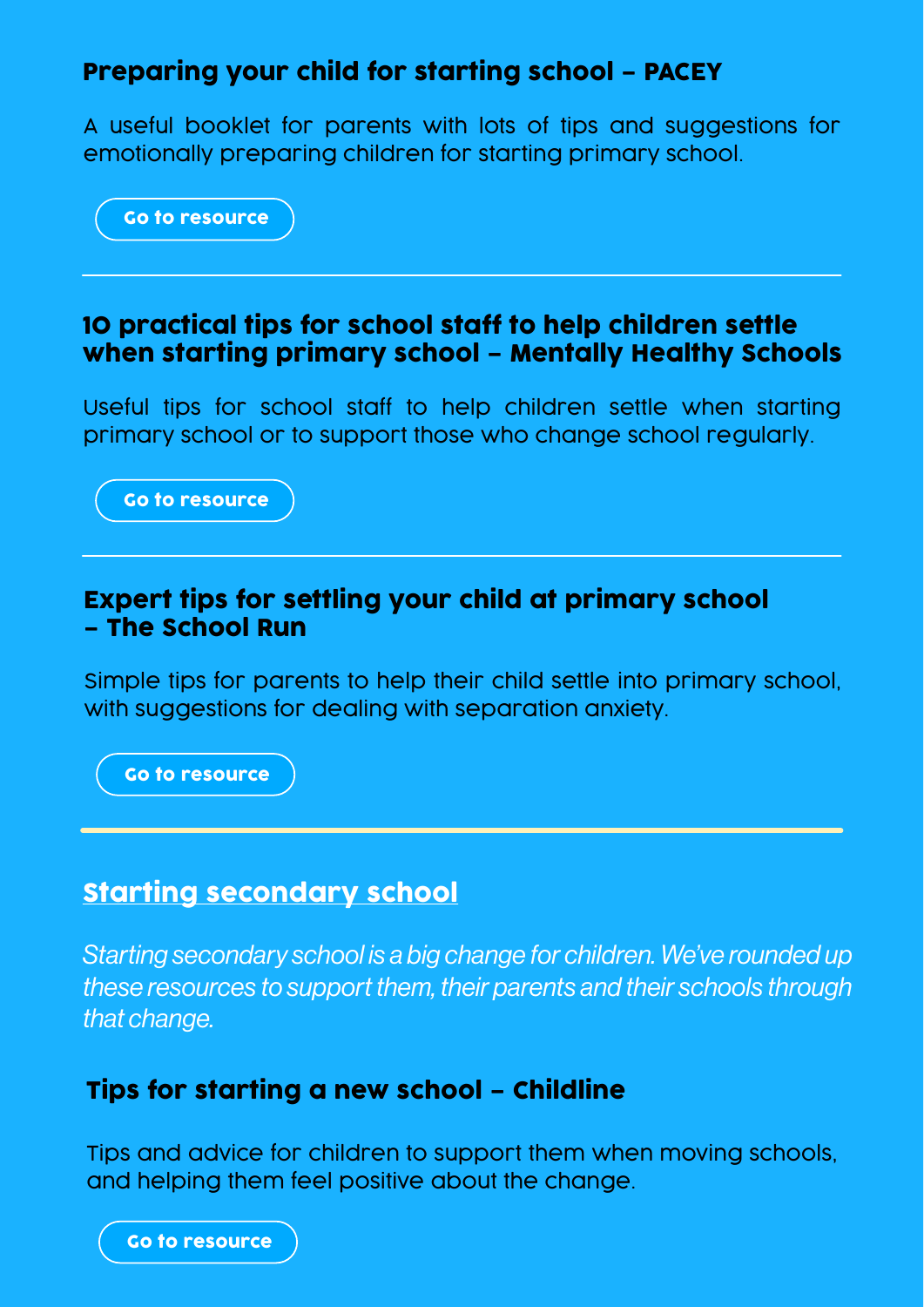# Preparing your child for starting school – PACEY

A useful booklet for parents with lots of tips and suggestions for emotionally preparing children for starting primary school.



### 10 practical tips for school staff to help children settle when starting primary school – Mentally Healthy Schools

Useful tips for school staff to help children settle when starting primary school or to support those who change school regularly.

[Go to resource](https://mentallyhealthyschools.org.uk/resources/10-practical-tips-for-school-staff-to-help-children-settle-when-starting-primary-school?pdf=coronavirus-toolkit-managing-transitions)

### Expert tips for settling your child at primary school – The School Run

Simple tips for parents to help their child settle into primary school, with suggestions for dealing with separation anxiety.

[Go to resource](https://mentallyhealthyschools.org.uk/resources/expert-tips-for-settling-your-child?pdf=coronavirus-toolkit-managing-transitions)

### Starting secondary school

*Starting secondary school is a big change for children. We've rounded up these resources to support them, their parents and their schools through that change.*

# Tips for starting a new school – Childline

Tips and advice for children to support them when moving schools, and helping them feel positive about the change.

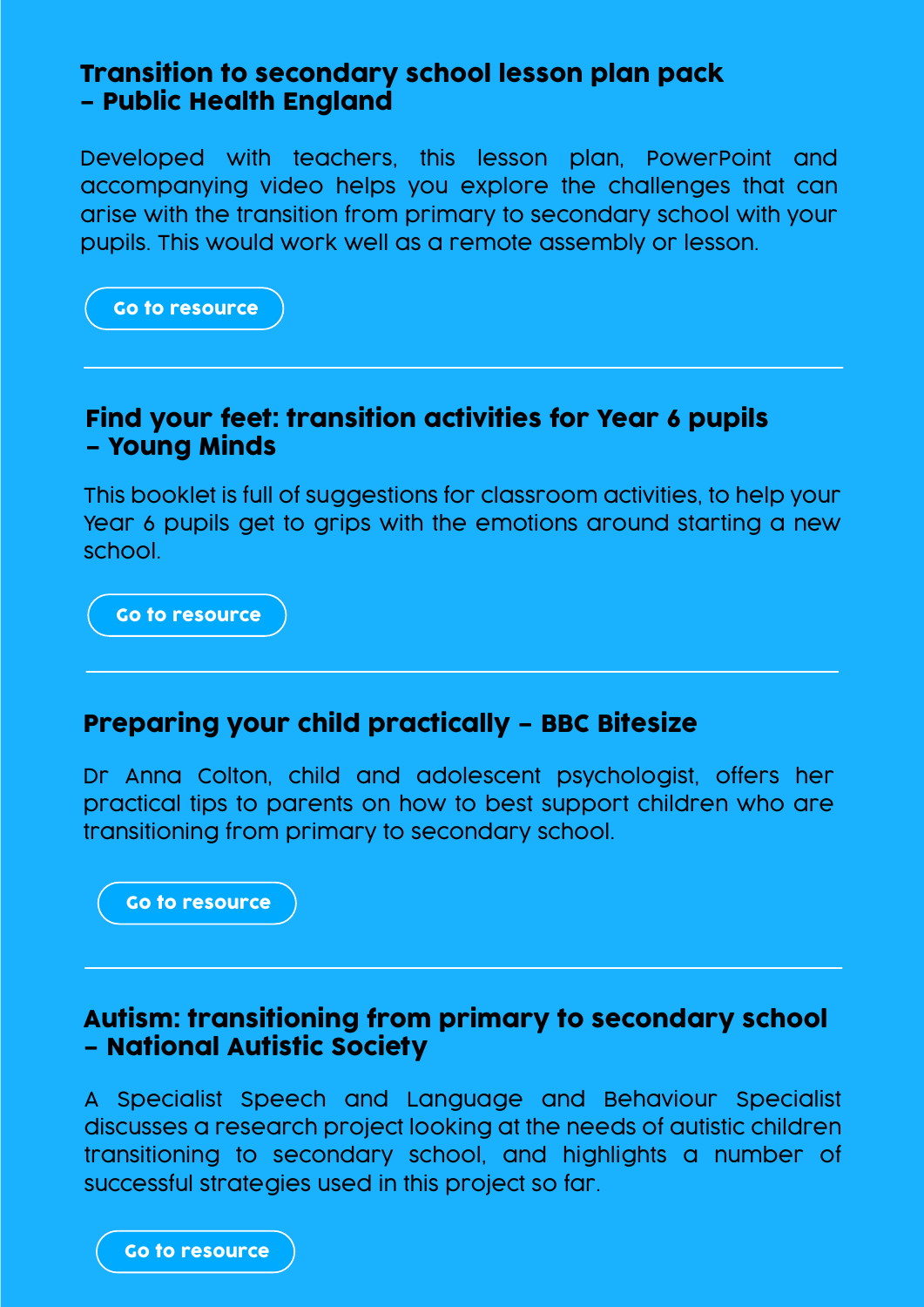### Transition to secondary school lesson plan pack – Public Health England

Developed with teachers, this lesson plan, PowerPoint and accompanying video helps you explore the challenges that can arise with the transition from primary to secondary school with your pupils. This would work well as a remote assembly or lesson.



### Find your feet: transition activities for Year 6 pupils – Young Minds

This booklet is full of suggestions for classroom activities, to help your Year 6 pupils get to grips with the emotions around starting a new school.

[Go to resource](https://www.mentallyhealthyschools.org.uk/resources/find-your-feet-transitions-activity-for-year-6-pupils?pdf=coronavirus-toolkit-managing-transitions)

#### Preparing your child practically – BBC Bitesize

Dr Anna Colton, child and adolescent psychologist, offers her practical tips to parents on how to best support children who are transitioning from primary to secondary school.

[Go to resource](https://www.mentallyhealthyschools.org.uk/resources/how-to-support-your-child-practically?pdf=coronavirus-toolkit-managing-transitions)

### Autism: transitioning from primary to secondary school – National Autistic Society

A Specialist Speech and Language and Behaviour Specialist discusses a research project looking at the needs of autistic children transitioning to secondary school, and highlights a number of successful strategies used in this project so far.